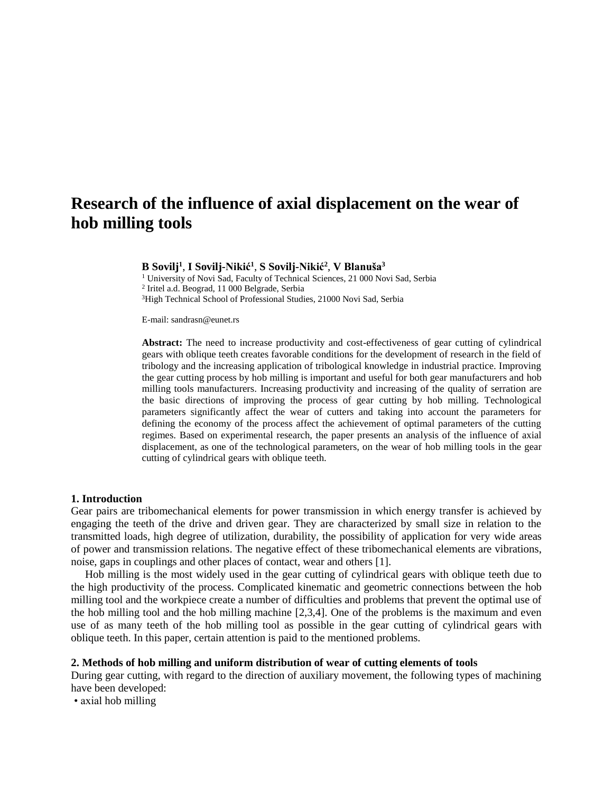# **Research of the influence of axial displacement on the wear of hob milling tools**

## **B Sovilj<sup>1</sup>** , **I Sovilj-Nikić<sup>1</sup>** , **S Sovilj-Nikić<sup>2</sup>** , **V Blanuša<sup>3</sup>**

<sup>1</sup> University of Novi Sad, Faculty of Technical Sciences, 21 000 Novi Sad, Serbia 2 Iritel a.d. Beograd, 11 000 Belgrade, Serbia <sup>3</sup>High Technical School of Professional Studies, 21000 Novi Sad, Serbia

E-mail: sandrasn@eunet.rs

**Abstract:** The need to increase productivity and cost-effectiveness of gear cutting of cylindrical gears with oblique teeth creates favorable conditions for the development of research in the field of tribology and the increasing application of tribological knowledge in industrial practice. Improving the gear cutting process by hob milling is important and useful for both gear manufacturers and hob milling tools manufacturers. Increasing productivity and increasing of the quality of serration are the basic directions of improving the process of gear cutting by hob milling. Technological parameters significantly affect the wear of cutters and taking into account the parameters for defining the economy of the process affect the achievement of optimal parameters of the cutting regimes. Based on experimental research, the paper presents an analysis of the influence of axial displacement, as one of the technological parameters, on the wear of hob milling tools in the gear cutting of cylindrical gears with oblique teeth.

#### **1. Introduction**

Gear pairs are tribomechanical elements for power transmission in which energy transfer is achieved by engaging the teeth of the drive and driven gear. They are characterized by small size in relation to the transmitted loads, high degree of utilization, durability, the possibility of application for very wide areas of power and transmission relations. The negative effect of these tribomechanical elements are vibrations, noise, gaps in couplings and other places of contact, wear and others [1].

Hob milling is the most widely used in the gear cutting of cylindrical gears with oblique teeth due to the high productivity of the process. Complicated kinematic and geometric connections between the hob milling tool and the workpiece create a number of difficulties and problems that prevent the optimal use of the hob milling tool and the hob milling machine [2,3,4]. One of the problems is the maximum and even use of as many teeth of the hob milling tool as possible in the gear cutting of cylindrical gears with oblique teeth. In this paper, certain attention is paid to the mentioned problems.

#### **2. Methods of hob milling and uniform distribution of wear of cutting elements of tools**

During gear cutting, with regard to the direction of auxiliary movement, the following types of machining have been developed:

• axial hob milling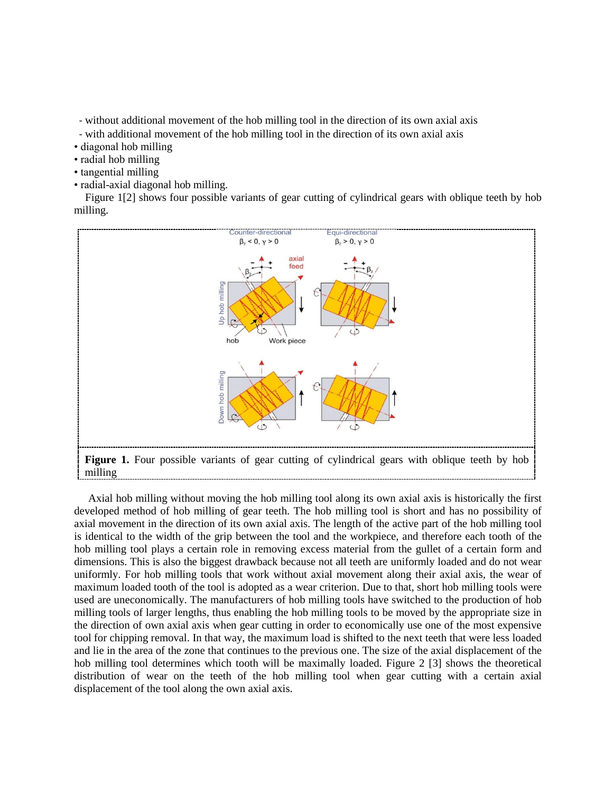- without additional movement of the hob milling tool in the direction of its own axial axis

- with additional movement of the hob milling tool in the direction of its own axial axis

- diagonal hob milling
- radial hob milling
- tangential milling
- radial-axial diagonal hob milling.

Figure 1[2] shows four possible variants of gear cutting of cylindrical gears with oblique teeth by hob milling.



Axial hob milling without moving the hob milling tool along its own axial axis is historically the first developed method of hob milling of gear teeth. The hob milling tool is short and has no possibility of axial movement in the direction of its own axial axis. The length of the active part of the hob milling tool is identical to the width of the grip between the tool and the workpiece, and therefore each tooth of the hob milling tool plays a certain role in removing excess material from the gullet of a certain form and dimensions. This is also the biggest drawback because not all teeth are uniformly loaded and do not wear uniformly. For hob milling tools that work without axial movement along their axial axis, the wear of maximum loaded tooth of the tool is adopted as a wear criterion. Due to that, short hob milling tools were used are uneconomically. The manufacturers of hob milling tools have switched to the production of hob milling tools of larger lengths, thus enabling the hob milling tools to be moved by the appropriate size in the direction of own axial axis when gear cutting in order to economically use one of the most expensive tool for chipping removal. In that way, the maximum load is shifted to the next teeth that were less loaded and lie in the area of the zone that continues to the previous one. The size of the axial displacement of the hob milling tool determines which tooth will be maximally loaded. Figure 2 [3] shows the theoretical distribution of wear on the teeth of the hob milling tool when gear cutting with a certain axial displacement of the tool along the own axial axis.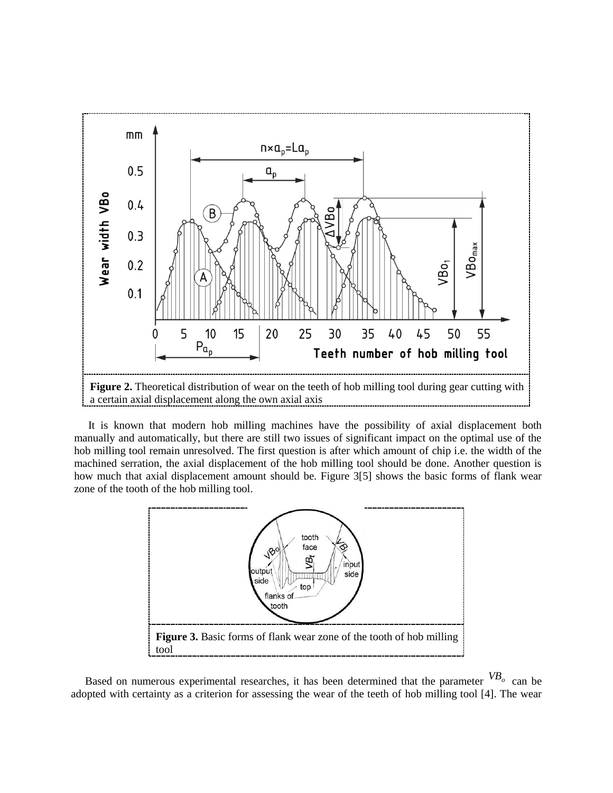

It is known that modern hob milling machines have the possibility of axial displacement both manually and automatically, but there are still two issues of significant impact on the optimal use of the hob milling tool remain unresolved. The first question is after which amount of chip i.e. the width of the machined serration, the axial displacement of the hob milling tool should be done. Another question is how much that axial displacement amount should be. Figure 3[5] shows the basic forms of flank wear zone of the tooth of the hob milling tool.



Based on numerous experimental researches, it has been determined that the parameter *VB<sup>o</sup>* can be adopted with certainty as a criterion for assessing the wear of the teeth of hob milling tool [4]. The wear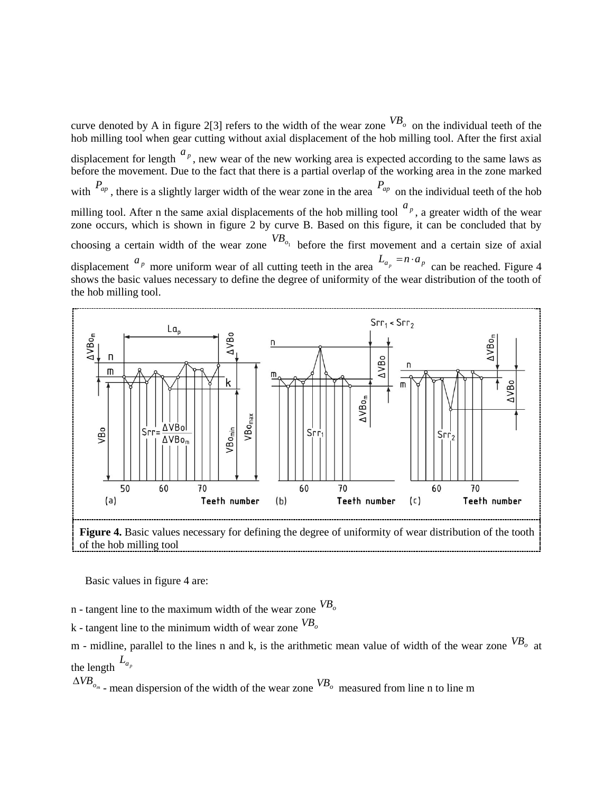curve denoted by A in figure 2[3] refers to the width of the wear zone  $^{VB}$  on the individual teeth of the hob milling tool when gear cutting without axial displacement of the hob milling tool. After the first axial displacement for length  $a_p$ , new wear of the new working area is expected according to the same laws as before the movement. Due to the fact that there is a partial overlap of the working area in the zone marked with  $P_{ap}$ , there is a slightly larger width of the wear zone in the area  $P_{ap}$  on the individual teeth of the hob milling tool. After n the same axial displacements of the hob milling tool  $\binom{a_p}{a}$ , a greater width of the wear zone occurs, which is shown in figure 2 by curve B. Based on this figure, it can be concluded that by choosing a certain width of the wear zone  $VB_{o_1}$  before the first movement and a certain size of axial displacement  $a_p$  more uniform wear of all cutting teeth in the area  $L_{a_p} = n \cdot a_p$  can be reached. Figure 4 shows the basic values necessary to define the degree of uniformity of the wear distribution of the tooth of the hob milling tool.



Basic values in figure 4 are:

n - tangent line to the maximum width of the wear zone *VB<sup>o</sup>*

k - tangent line to the minimum width of wear zone *VB<sup>o</sup>*

m - midline, parallel to the lines n and k, is the arithmetic mean value of width of the wear zone *VB<sup>o</sup>* at the length  $L_{a_p}$ 

 $\Delta V B_{o_m}$  – mean dispersion of the width of the wear zone  $V B_o$  measured from line n to line m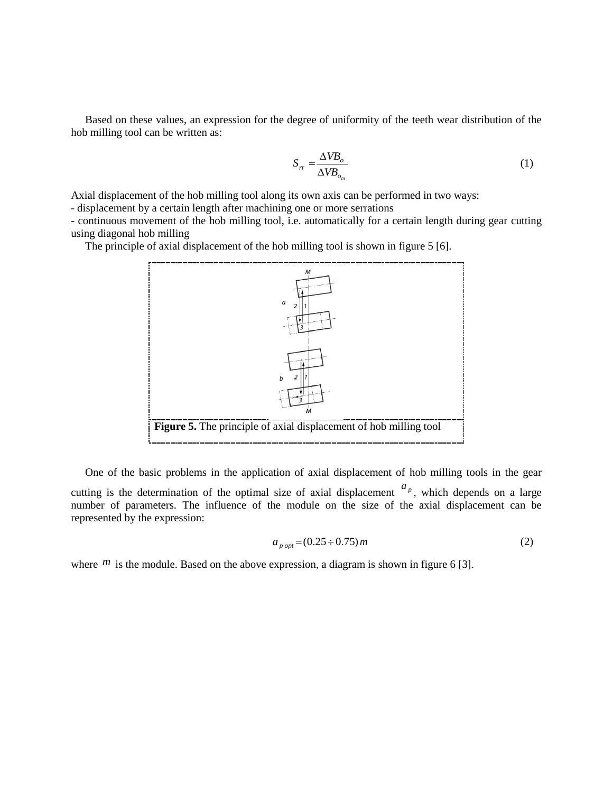Based on these values, an expression for the degree of uniformity of the teeth wear distribution of the hob milling tool can be written as:

$$
S_{rr} = \frac{\Delta V B_o}{\Delta V B_{o_m}}
$$
 (1)

Axial displacement of the hob milling tool along its own axis can be performed in two ways:

- displacement by a certain length after machining one or more serrations

- continuous movement of the hob milling tool, i.e. automatically for a certain length during gear cutting using diagonal hob milling

The principle of axial displacement of the hob milling tool is shown in figure 5 [6].



One of the basic problems in the application of axial displacement of hob milling tools in the gear cutting is the determination of the optimal size of axial displacement  $\frac{a_p}{a_p}$ , which depends on a large number of parameters. The influence of the module on the size of the axial displacement can be represented by the expression:

$$
a_{\text{p} \text{ opt}} = (0.25 \div 0.75) m \tag{2}
$$

where  $<sup>m</sup>$  is the module. Based on the above expression, a diagram is shown in figure 6 [3].</sup>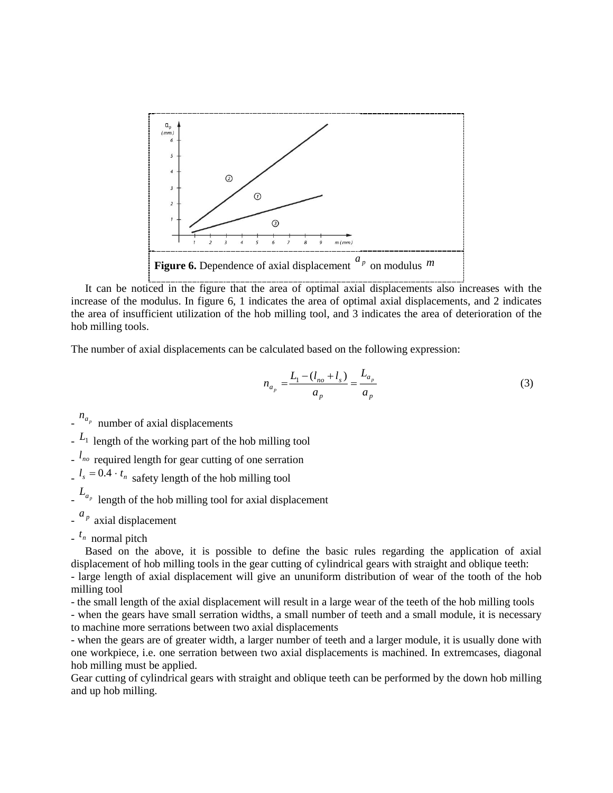

It can be noticed in the figure that the area of optimal axial displacements also increases with the increase of the modulus. In figure 6, 1 indicates the area of optimal axial displacements, and 2 indicates the area of insufficient utilization of the hob milling tool, and 3 indicates the area of deterioration of the hob milling tools.

The number of axial displacements can be calculated based on the following expression:

$$
n_{a_p} = \frac{L_1 - (l_{no} + l_s)}{a_p} = \frac{L_{a_p}}{a_p} \tag{3}
$$

 $\int_{0}^{n_a}$  number of axial displacements

- *L*1 length of the working part of the hob milling tool

-  $l_{no}$  required length for gear cutting of one serration

 $l_s = 0.4 \cdot t_n$  safety length of the hob milling tool

 $L_{a_p}$  length of the hob milling tool for axial displacement

-  $a_p$  axial displacement

-  $t_n$  normal pitch

Based on the above, it is possible to define the basic rules regarding the application of axial displacement of hob milling tools in the gear cutting of cylindrical gears with straight and oblique teeth: - large length of axial displacement will give an ununiform distribution of wear of the tooth of the hob

milling tool

- the small length of the axial displacement will result in a large wear of the teeth of the hob milling tools

- when the gears have small serration widths, a small number of teeth and a small module, it is necessary to machine more serrations between two axial displacements

- when the gears are of greater width, a larger number of teeth and a larger module, it is usually done with one workpiece, i.e. one serration between two axial displacements is machined. In extremcases, diagonal hob milling must be applied.

Gear cutting of cylindrical gears with straight and oblique teeth can be performed by the down hob milling and up hob milling.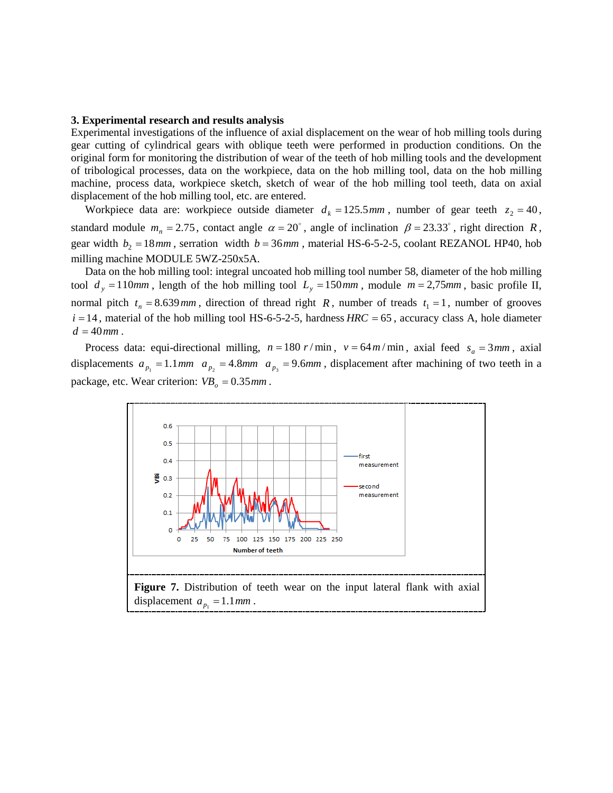#### **3. Experimental research and results analysis**

Experimental investigations of the influence of axial displacement on the wear of hob milling tools during gear cutting of cylindrical gears with oblique teeth were performed in production conditions. On the original form for monitoring the distribution of wear of the teeth of hob milling tools and the development of tribological processes, data on the workpiece, data on the hob milling tool, data on the hob milling machine, process data, workpiece sketch, sketch of wear of the hob milling tool teeth, data on axial displacement of the hob milling tool, etc. are entered.

Workpiece data are: workpiece outside diameter  $d_k = 125.5$  *mm*, number of gear teeth  $z_2 = 40$ , standard module  $m_n = 2.75$ , contact angle  $\alpha = 20^\circ$ , angle of inclination  $\beta = 23.33^\circ$ , right direction R, gear width  $b_2 = 18$ *mm*, serration width  $b = 36$ *mm*, material HS-6-5-2-5, coolant REZANOL HP40, hob milling machine MODULE 5WZ-250x5A.

Data on the hob milling tool: integral uncoated hob milling tool number 58, diameter of the hob milling tool  $d_y = 110$ *mm*, length of the hob milling tool  $L_y = 150$ *mm*, module  $m = 2,75$ *mm*, basic profile II, normal pitch  $t_n = 8.639 \text{ mm}$ , direction of thread right R, number of treads  $t_1 = 1$ , number of grooves  $i = 14$ , material of the hob milling tool HS-6-5-2-5, hardness  $HRC = 65$ , accuracy class A, hole diameter  $d = 40$ *mm*.

Process data: equi-directional milling,  $n = 180 \frac{r}{\text{min}}$ ,  $v = 64 \frac{m}{\text{min}}$ , axial feed  $s_a = 3 \frac{mm}{\text{max}}$ , axial displacements  $a_{p_1} = 1.1$  *mm*  $a_{p_2} = 4.8$  *mm*  $a_{p_3} = 9.6$  *mm*, displacement after machining of two teeth in a package, etc. Wear criterion:  $VB_0 = 0.35$  mm.

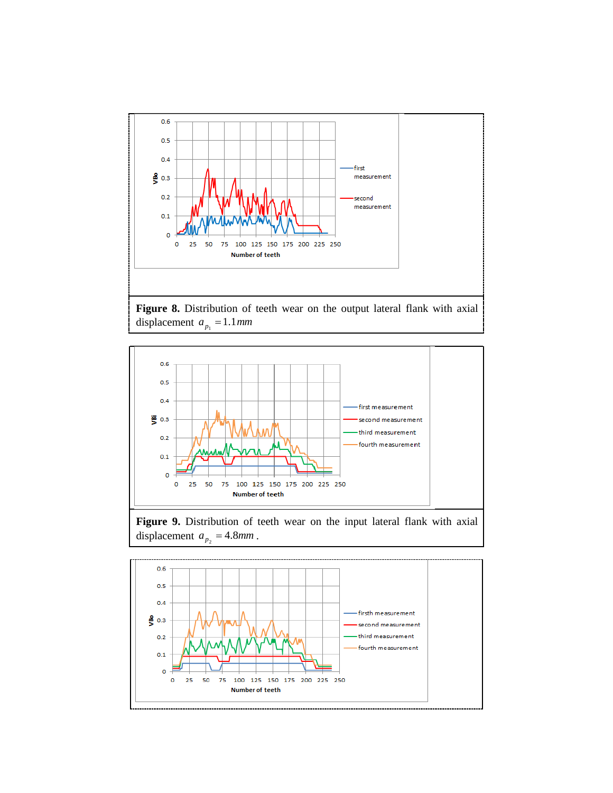





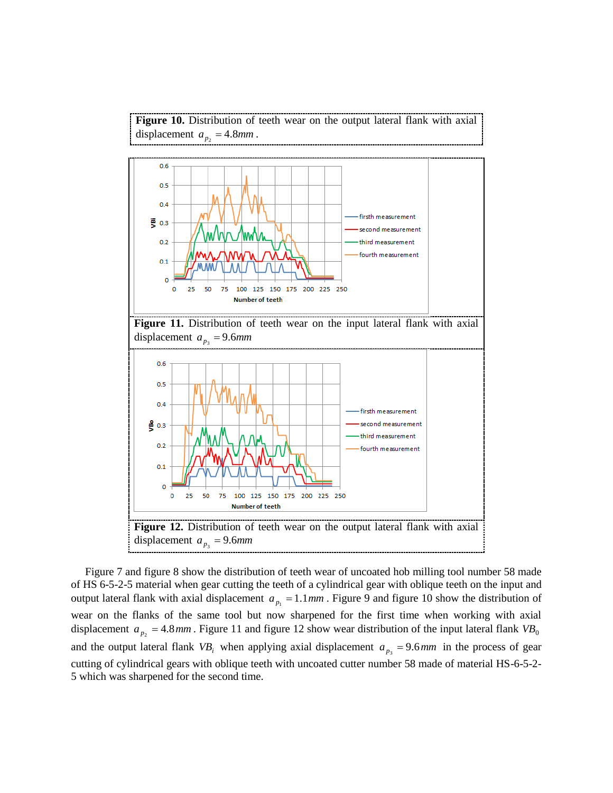**Figure 10.** Distribution of teeth wear on the output lateral flank with axial displacement  $a_{p_2} = 4.8$ *mm*.



Figure 7 and figure 8 show the distribution of teeth wear of uncoated hob milling tool number 58 made of HS 6-5-2-5 material when gear cutting the teeth of a cylindrical gear with oblique teeth on the input and output lateral flank with axial displacement  $a_{p_1} = 1.1$  *mm*. Figure 9 and figure 10 show the distribution of wear on the flanks of the same tool but now sharpened for the first time when working with axial displacement  $a_{p_2} = 4.8$ *mm*. Figure 11 and figure 12 show wear distribution of the input lateral flank  $VB_0$ and the output lateral flank  $VB_i$  when applying axial displacement  $a_{p_3} = 9.6$ *mm* in the process of gear cutting of cylindrical gears with oblique teeth with uncoated cutter number 58 made of material HS-6-5-2- 5 which was sharpened for the second time.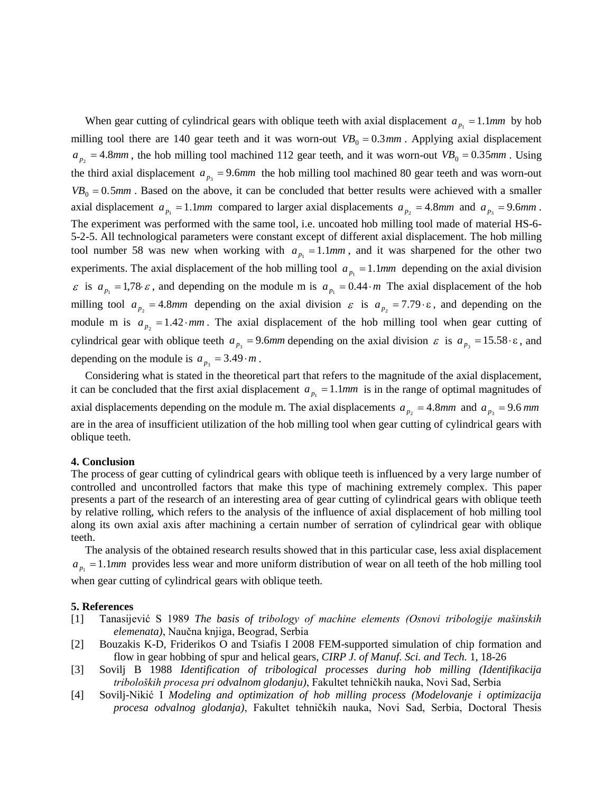When gear cutting of cylindrical gears with oblique teeth with axial displacement  $a_{p_1} = 1.1$ *mm* by hob milling tool there are 140 gear teeth and it was worn-out  $VB_0 = 0.3 \, \text{mm}$ . Applying axial displacement  $a_{p_2} = 4.8$ *mm*, the hob milling tool machined 112 gear teeth, and it was worn-out  $VB_0 = 0.35$ *mm*. Using the third axial displacement  $a_{p_3} = 9.6$ *mm* the hob milling tool machined 80 gear teeth and was worn-out  $VB_0 = 0.5$ *mm*. Based on the above, it can be concluded that better results were achieved with a smaller axial displacement  $a_{p_1} = 1.1$ *mm* compared to larger axial displacements  $a_{p_2} = 4.8$ *mm* and  $a_{p_3} = 9.6$ *mm*. The experiment was performed with the same tool, i.e. uncoated hob milling tool made of material HS-6- 5-2-5. All technological parameters were constant except of different axial displacement. The hob milling tool number 58 was new when working with  $a_{p_1} = 1.1$  *mm*, and it was sharpened for the other two experiments. The axial displacement of the hob milling tool  $a_{p_1} = 1.1$ *mm* depending on the axial division  $\epsilon$  is  $a_{p_1} = 1.78 \epsilon$ , and depending on the module m is  $a_{p_1} = 0.44 \cdot m$  The axial displacement of the hob milling tool  $a_{p_2} = 4.8$ *mm* depending on the axial division  $\varepsilon$  is  $a_{p_2} = 7.79 \cdot \varepsilon$ , and depending on the module m is  $a_{p_2} = 1.42 \cdot \text{mm}$ . The axial displacement of the hob milling tool when gear cutting of cylindrical gear with oblique teeth  $a_{p_3} = 9.6$ *mm* depending on the axial division  $\varepsilon$  is  $a_{p_3} = 15.58 \cdot \varepsilon$ , and depending on the module is  $a_{p_3} = 3.49 \cdot m$ .

Considering what is stated in the theoretical part that refers to the magnitude of the axial displacement, it can be concluded that the first axial displacement  $a_{p_1} = 1.1$ *mm* is in the range of optimal magnitudes of axial displacements depending on the module m. The axial displacements  $a_{p_2} = 4.8$ *mm* and  $a_{p_3} = 9.6$  *mm* are in the area of insufficient utilization of the hob milling tool when gear cutting of cylindrical gears with oblique teeth.

### **4. Conclusion**

The process of gear cutting of cylindrical gears with oblique teeth is influenced by a very large number of controlled and uncontrolled factors that make this type of machining extremely complex. This paper presents a part of the research of an interesting area of gear cutting of cylindrical gears with oblique teeth by relative rolling, which refers to the analysis of the influence of axial displacement of hob milling tool along its own axial axis after machining a certain number of serration of cylindrical gear with oblique teeth.

The analysis of the obtained research results showed that in this particular case, less axial displacement  $a_{p_1} = 1.1$ *mm* provides less wear and more uniform distribution of wear on all teeth of the hob milling tool when gear cutting of cylindrical gears with oblique teeth.

#### **5. References**

- [1] Tanasijević S 1989 *The basis of tribology of machine elements (Osnovi tribologije mašinskih elemenata)*, Naučna knjiga, Beograd, Serbia
- [2] Bouzakis K-D, Friderikos O and Tsiafis I 2008 FEM-supported simulation of chip formation and flow in gear hobbing of spur and helical gears, *CIRP J. of Manuf. Sci. and Tech.* 1, 18-26
- [3] Sovilj B 1988 *Identification of tribological processes during hob milling (Identifikacija triboloških procesa pri odvalnom glodanju)*, Fakultet tehničkih nauka, Novi Sad, Serbia
- [4] Sovilj-Nikić I *Modeling and optimization of hob milling process (Modelovanje i optimizacija procesa odvalnog glodanja)*, Fakultet tehničkih nauka, Novi Sad, Serbia, Doctoral Thesis